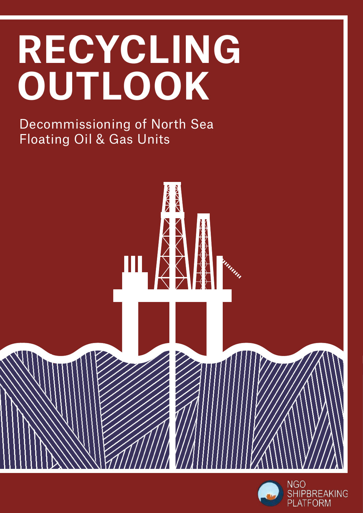# **RECYCLING OUTLOOK**

Decommissioning of North Sea Floating Oil & Gas Units



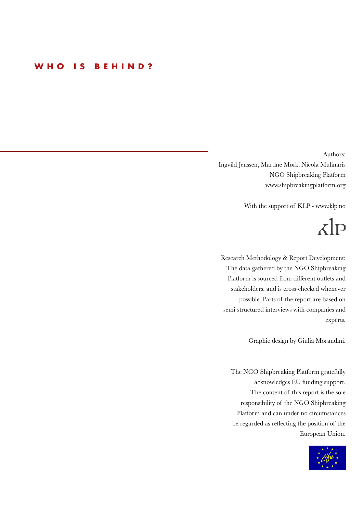#### **WHO IS BEHIND?**

Authors: Ingvild Jenssen, Martine Mørk, Nicola Mulinaris NGO Shipbreaking Platform www.shipbreakingplatform.org

With the support of KLP - www.klp.no

## $\lambda$ lp

Research Methodology & Report Development: The data gathered by the NGO Shipbreaking Platform is sourced from different outlets and stakeholders, and is cross-checked whenever possible. Parts of the report are based on semi-structured interviews with companies and experts.

Graphic design by Giulia Morandini.

The NGO Shipbreaking Platform gratefully acknowledges EU funding support. The content of this report is the sole responsibility of the NGO Shipbreaking Platform and can under no circumstances be regarded as reflecting the position of the European Union.

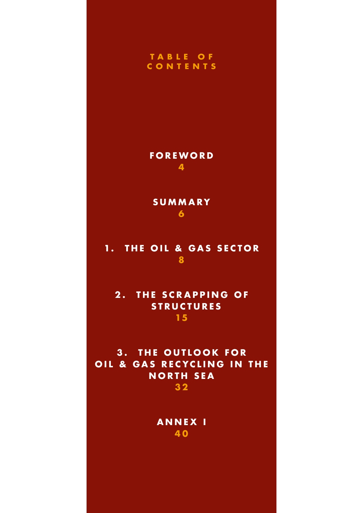#### **T A B L E O F CONTENTS**

**FOREWORD 4**

**SUMMARY 6**

#### 1. THE OIL & GAS SECTOR **8**

**2. THE SCRAPPING OF STRUCTURES 15**

**3. THE OUTLOOK FOR OIL & GAS RECYCLING IN THE NORTH SEA 3 2**

**ANNEX I 4 0**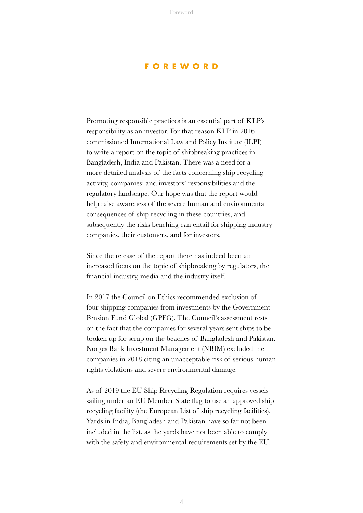#### **FOREWORD**

Promoting responsible practices is an essential part of KLP's responsibility as an investor. For that reason KLP in 2016 commissioned International Law and Policy Institute (ILPI) to write a report on the topic of shipbreaking practices in Bangladesh, India and Pakistan. There was a need for a more detailed analysis of the facts concerning ship recycling activity, companies' and investors' responsibilities and the regulatory landscape. Our hope was that the report would help raise awareness of the severe human and environmental consequences of ship recycling in these countries, and subsequently the risks beaching can entail for shipping industry companies, their customers, and for investors.

Since the release of the report there has indeed been an increased focus on the topic of shipbreaking by regulators, the financial industry, media and the industry itself.

In 2017 the Council on Ethics recommended exclusion of four shipping companies from investments by the Government Pension Fund Global (GPFG). The Council's assessment rests on the fact that the companies for several years sent ships to be broken up for scrap on the beaches of Bangladesh and Pakistan. Norges Bank Investment Management (NBIM) excluded the companies in 2018 citing an unacceptable risk of serious human rights violations and severe environmental damage.

As of 2019 the EU Ship Recycling Regulation requires vessels sailing under an EU Member State flag to use an approved ship recycling facility (the European List of ship recycling facilities). Yards in India, Bangladesh and Pakistan have so far not been included in the list, as the yards have not been able to comply with the safety and environmental requirements set by the EU.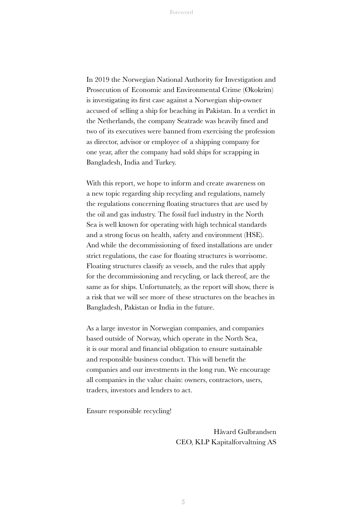In 2019 the Norwegian National Authority for Investigation and Prosecution of Economic and Environmental Crime (Økokrim) is investigating its first case against a Norwegian ship-owner accused of selling a ship for beaching in Pakistan. In a verdict in the Netherlands, the company Seatrade was heavily fined and two of its executives were banned from exercising the profession as director, advisor or employee of a shipping company for one year, after the company had sold ships for scrapping in Bangladesh, India and Turkey.

With this report, we hope to inform and create awareness on a new topic regarding ship recycling and regulations, namely the regulations concerning floating structures that are used by the oil and gas industry. The fossil fuel industry in the North Sea is well known for operating with high technical standards and a strong focus on health, safety and environment (HSE). And while the decommissioning of fixed installations are under strict regulations, the case for floating structures is worrisome. Floating structures classify as vessels, and the rules that apply for the decommissioning and recycling, or lack thereof, are the same as for ships. Unfortunately, as the report will show, there is a risk that we will see more of these structures on the beaches in Bangladesh, Pakistan or India in the future.

As a large investor in Norwegian companies, and companies based outside of Norway, which operate in the North Sea, it is our moral and financial obligation to ensure sustainable and responsible business conduct. This will benefit the companies and our investments in the long run. We encourage all companies in the value chain: owners, contractors, users, traders, investors and lenders to act.

Ensure responsible recycling!

Håvard Gulbrandsen CEO, KLP Kapitalforvaltning AS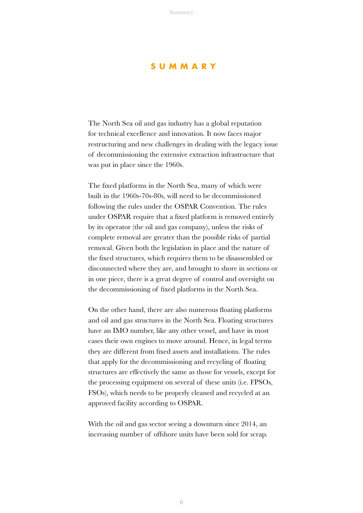#### **SUMMARY**

The North Sea oil and gas industry has a global reputation for technical excellence and innovation. It now faces major restructuring and new challenges in dealing with the legacy issue of decommissioning the extensive extraction infrastructure that was put in place since the 1960s.

The fixed platforms in the North Sea, many of which were built in the 1960s-70s-80s, will need to be decommissioned following the rules under the OSPAR Convention. The rules under OSPAR require that a fixed platform is removed entirely by its operator (the oil and gas company), unless the risks of complete removal are greater than the possible risks of partial removal. Given both the legislation in place and the nature of the fixed structures, which requires them to be disassembled or disconnected where they are, and brought to shore in sections or in one piece, there is a great degree of control and oversight on the decommissioning of fixed platforms in the North Sea.

On the other hand, there are also numerous floating platforms and oil and gas structures in the North Sea. Floating structures have an IMO number, like any other vessel, and have in most cases their own engines to move around. Hence, in legal terms they are different from fixed assets and installations. The rules that apply for the decommissioning and recycling of floating structures are effectively the same as those for vessels, except for the processing equipment on several of these units (i.e. FPSOs, FSOs), which needs to be properly cleaned and recycled at an approved facility according to OSPAR.

With the oil and gas sector seeing a downturn since 2014, an increasing number of offshore units have been sold for scrap.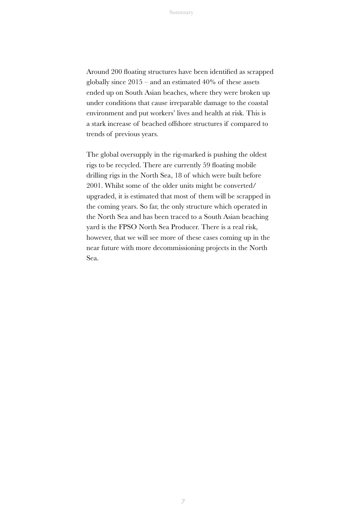Around 200 floating structures have been identified as scrapped globally since  $2015$  – and an estimated 40% of these assets ended up on South Asian beaches, where they were broken up under conditions that cause irreparable damage to the coastal environment and put workers' lives and health at risk. This is a stark increase of beached offshore structures if compared to trends of previous years.

The global oversupply in the rig-marked is pushing the oldest rigs to be recycled. There are currently 59 floating mobile drilling rigs in the North Sea, 18 of which were built before 2001. Whilst some of the older units might be converted/ upgraded, it is estimated that most of them will be scrapped in the coming years. So far, the only structure which operated in the North Sea and has been traced to a South Asian beaching yard is the FPSO North Sea Producer. There is a real risk, however, that we will see more of these cases coming up in the near future with more decommissioning projects in the North Sea.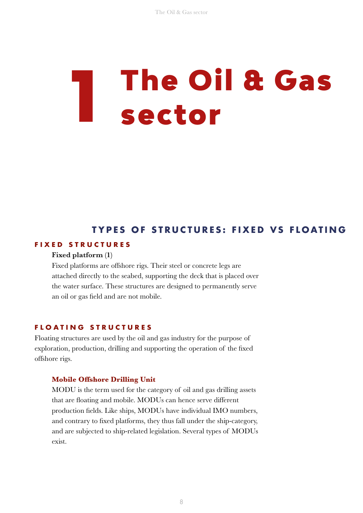# **1** The Oil & Gas sector

#### **TYPES OF STRUCTURES: FIXED VS FLOATING**

#### **FIXED STRUCTURES**

#### Fixed platform (1)

Fixed platforms are offshore rigs. Their steel or concrete legs are attached directly to the seabed, supporting the deck that is placed over the water surface. These structures are designed to permanently serve an oil or gas field and are not mobile.

#### **FLOATING STRUCTURES**

Floating structures are used by the oil and gas industry for the purpose of exploration, production, drilling and supporting the operation of the fixed offshore rigs.

#### **Mobile Offshore Drilling Unit**

MODU is the term used for the category of oil and gas drilling assets that are floating and mobile. MODUs can hence serve different production fields. Like ships, MODUs have individual IMO numbers, and contrary to fixed platforms, they thus fall under the ship-category, and are subjected to ship-related legislation. Several types of MODUs exist.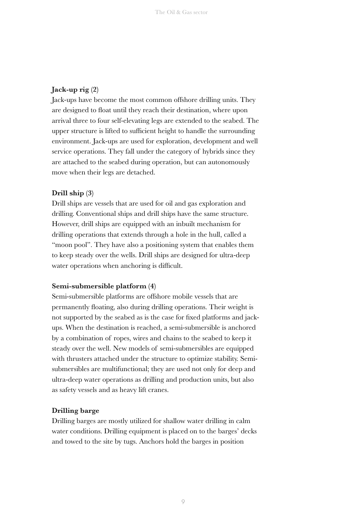#### Jack-up rig (2)

Jack-ups have become the most common offshore drilling units. They are designed to float until they reach their destination, where upon arrival three to four self-elevating legs are extended to the seabed. The upper structure is lifted to sufficient height to handle the surrounding environment. Jack-ups are used for exploration, development and well service operations. They fall under the category of hybrids since they are attached to the seabed during operation, but can autonomously move when their legs are detached.

#### Drill ship (3)

Drill ships are vessels that are used for oil and gas exploration and drilling. Conventional ships and drill ships have the same structure. However, drill ships are equipped with an inbuilt mechanism for drilling operations that extends through a hole in the hull, called a "moon pool". They have also a positioning system that enables them to keep steady over the wells. Drill ships are designed for ultra-deep water operations when anchoring is difficult.

#### Semi-submersible platform (4)

Semi-submersible platforms are offshore mobile vessels that are permanently floating, also during drilling operations. Their weight is not supported by the seabed as is the case for fixed platforms and jackups. When the destination is reached, a semi-submersible is anchored by a combination of ropes, wires and chains to the seabed to keep it steady over the well. New models of semi-submersibles are equipped with thrusters attached under the structure to optimize stability. Semisubmersibles are multifunctional; they are used not only for deep and ultra-deep water operations as drilling and production units, but also as safety vessels and as heavy lift cranes.

#### Drilling barge

Drilling barges are mostly utilized for shallow water drilling in calm water conditions. Drilling equipment is placed on to the barges' decks and towed to the site by tugs. Anchors hold the barges in position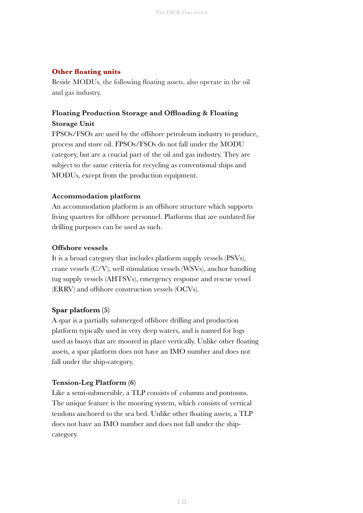#### **Other floating units**

Beside MODUs, the following floating assets, also operate in the oil and gas industry.

#### Floating Production Storage and Offloading & Floating Storage Unit

FPSOs/FSOs are used by the offshore petroleum industry to produce, process and store oil. FPSOs/FSOs do not fall under the MODU category, but are a crucial part of the oil and gas industry. They are subject to the same criteria for recycling as conventional ships and MODUs, except from the production equipment.

#### Accommodation platform

An accommodation platform is an offshore structure which supports living quarters for offshore personnel. Platforms that are outdated for drilling purposes can be used as such.

#### Offshore vessels

It is a broad category that includes platform supply vessels (PSVs), crane vessels (C/V), well stimulation vessels (WSVs), anchor handling tug supply vessels (AHTSVs), emergency response and rescue vessel (ERRV) and offshore construction vessels (OCVs).

#### Spar platform (5)

A spar is a partially submerged offshore drilling and production platform typically used in very deep waters, and is named for logs used as buoys that are moored in place vertically. Unlike other floating assets, a spar platform does not have an IMO number and does not fall under the ship-category.

#### Tension-Leg Platform (6)

Like a semi-submersible, a TLP consists of columns and pontoons. The unique feature is the mooring system, which consists of vertical tendons anchored to the sea bed. Unlike other floating assets, a TLP does not have an IMO number and does not fall under the shipcategory.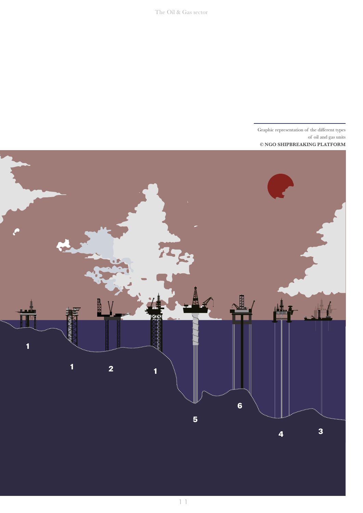

1 1

Graphic representation of the different types of oil and gas units © NGO SHIPBREAKING PLATFORM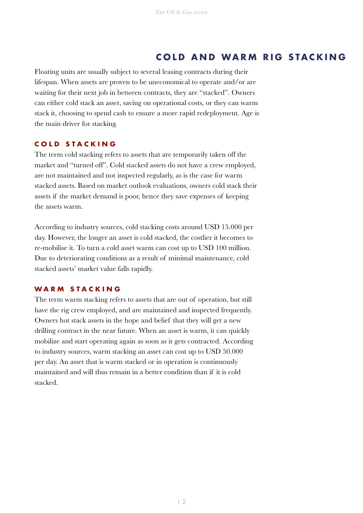#### **COLD AND WARM RIG STACKING**

Floating units are usually subject to several leasing contracts during their lifespan. When assets are proven to be uneconomical to operate and/or are waiting for their next job in between contracts, they are "stacked". Owners can either cold stack an asset, saving on operational costs, or they can warm stack it, choosing to spend cash to ensure a more rapid redeployment. Age is the main driver for stacking.

#### **COLD STACKING**

The term cold stacking refers to assets that are temporarily taken off the market and "turned off". Cold stacked assets do not have a crew employed, are not maintained and not inspected regularly, as is the case for warm stacked assets. Based on market outlook evaluations, owners cold stack their assets if the market demand is poor, hence they save expenses of keeping the assets warm.

According to industry sources, cold stacking costs around USD 15.000 per day. However, the longer an asset is cold stacked, the costlier it becomes to re-mobilise it. To turn a cold asset warm can cost up to USD 100 million. Due to deteriorating conditions as a result of minimal maintenance, cold stacked assets' market value falls rapidly.

#### **WARM STACKING**

The term warm stacking refers to assets that are out of operation, but still have the rig crew employed, and are maintained and inspected frequently. Owners hot stack assets in the hope and belief that they will get a new drilling contract in the near future. When an asset is warm, it can quickly mobilize and start operating again as soon as it gets contracted. According to industry sources, warm stacking an asset can cost up to USD 50.000 per day. An asset that is warm stacked or in operation is continuously maintained and will thus remain in a better condition than if it is cold stacked.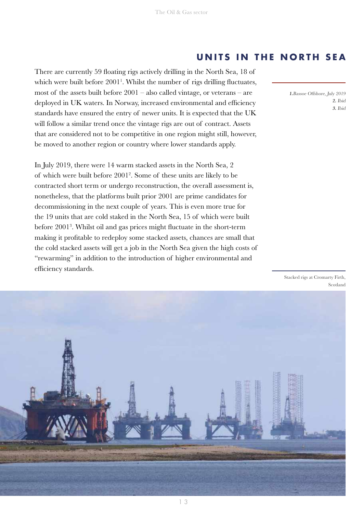#### **UNITS IN THE NORTH SEA**

There are currently 59 floating rigs actively drilling in the North Sea, 18 of which were built before 2001<sup>1</sup>. Whilst the number of rigs drilling fluctuates, most of the assets built before 2001 – also called vintage, or veterans – are deployed in UK waters. In Norway, increased environmental and efficiency standards have ensured the entry of newer units. It is expected that the UK will follow a similar trend once the vintage rigs are out of contract. Assets that are considered not to be competitive in one region might still, however, be moved to another region or country where lower standards apply.

In July 2019, there were 14 warm stacked assets in the North Sea, 2 of which were built before 20012 . Some of these units are likely to be contracted short term or undergo reconstruction, the overall assessment is, nonetheless, that the platforms built prior 2001 are prime candidates for decommissioning in the next couple of years. This is even more true for the 19 units that are cold staked in the North Sea, 15 of which were built before 20013 . Whilst oil and gas prices might fluctuate in the short-term making it profitable to redeploy some stacked assets, chances are small that the cold stacked assets will get a job in the North Sea given the high costs of "rewarming" in addition to the introduction of higher environmental and efficiency standards.

1.Bassoe Offshore, July 2019 2. Ibid 3. Ibid

Stacked rigs at Cromarty Firth, Scotland

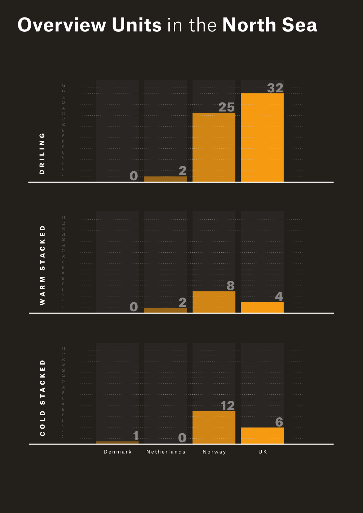## **Overview Units** in the **North Sea**

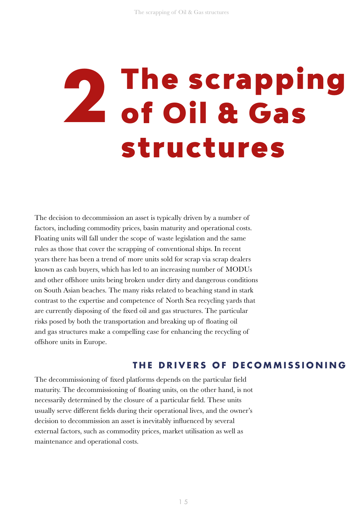# **2** The scrapping of Oil & Gas structures

The decision to decommission an asset is typically driven by a number of factors, including commodity prices, basin maturity and operational costs. Floating units will fall under the scope of waste legislation and the same rules as those that cover the scrapping of conventional ships. In recent years there has been a trend of more units sold for scrap via scrap dealers known as cash buyers, which has led to an increasing number of MODUs and other offshore units being broken under dirty and dangerous conditions on South Asian beaches. The many risks related to beaching stand in stark contrast to the expertise and competence of North Sea recycling yards that are currently disposing of the fixed oil and gas structures. The particular risks posed by both the transportation and breaking up of floating oil and gas structures make a compelling case for enhancing the recycling of offshore units in Europe.

#### **THE DRIVERS OF DECOMMISSIONING**

The decommissioning of fixed platforms depends on the particular field maturity. The decommissioning of floating units, on the other hand, is not necessarily determined by the closure of a particular field. These units usually serve different fields during their operational lives, and the owner's decision to decommission an asset is inevitably influenced by several external factors, such as commodity prices, market utilisation as well as maintenance and operational costs.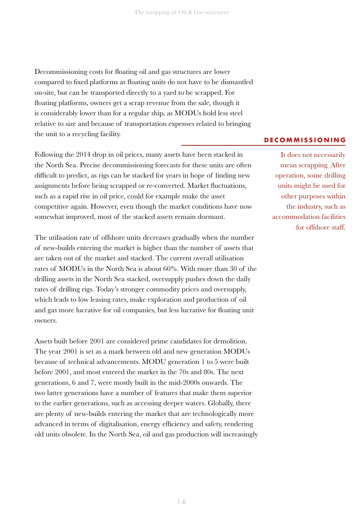Decommissioning costs for floating oil and gas structures are lower compared to fixed platforms as floating units do not have to be dismantled on-site, but can be transported directly to a yard to be scrapped. For floating platforms, owners get a scrap revenue from the sale, though it is considerably lower than for a regular ship, as MODUs hold less steel relative to size and because of transportation expenses related to bringing the unit to a recycling facility.

Following the 2014 drop in oil prices, many assets have been stacked in the North Sea. Precise decommissioning forecasts for these units are often difficult to predict, as rigs can be stacked for years in hope of finding new assignments before being scrapped or re-converted. Market fluctuations, such as a rapid rise in oil price, could for example make the asset competitive again. However, even though the market conditions have now somewhat improved, most of the stacked assets remain dormant.

The utilisation rate of offshore units decreases gradually when the number of new-builds entering the market is higher than the number of assets that are taken out of the market and stacked. The current overall utilisation rates of MODUs in the North Sea is about 60%. With more than 30 of the drilling assets in the North Sea stacked, oversupply pushes down the daily rates of drilling rigs. Today's stronger commodity prices and oversupply, which leads to low leasing rates, make exploration and production of oil and gas more lucrative for oil companies, but less lucrative for floating unit owners.

Assets built before 2001 are considered prime candidates for demolition. The year 2001 is set as a mark between old and new generation MODUs because of technical advancements. MODU generation 1 to 5 were built before 2001, and most entered the market in the 70s and 80s. The next generations, 6 and 7, were mostly built in the mid-2000s onwards. The two latter generations have a number of features that make them superior to the earlier generations, such as accessing deeper waters. Globally, there are plenty of new-builds entering the market that are technologically more advanced in terms of digitalisation, energy efficiency and safety, rendering old units obsolete. In the North Sea, oil and gas production will increasingly

#### **DECOMMISSIONING**

It does not necessarily mean scrapping. After operation, some drilling units might be used for other purposes within the industry, such as accommodation facilities for offshore staff.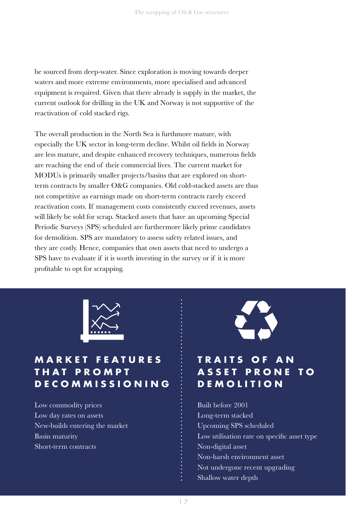be sourced from deep-water. Since exploration is moving towards deeper waters and more extreme environments, more specialised and advanced equipment is required. Given that there already is supply in the market, the current outlook for drilling in the UK and Norway is not supportive of the reactivation of cold stacked rigs.

The overall production in the North Sea is furthmore mature, with especially the UK sector in long-term decline. Whilst oil fields in Norway are less mature, and despite enhanced recovery techniques, numerous fields are reaching the end of their commercial lives. The current market for MODUs is primarily smaller projects/basins that are explored on shortterm contracts by smaller O&G companies. Old cold-stacked assets are thus not competitive as earnings made on short-term contracts rarely exceed reactivation costs. If management costs consistently exceed revenues, assets will likely be sold for scrap. Stacked assets that have an upcoming Special Periodic Surveys (SPS) scheduled are furthermore likely prime candidates for demolition. SPS are mandatory to assess safety related issues, and they are costly. Hence, companies that own assets that need to undergo a SPS have to evaluate if it is worth investing in the survey or if it is more profitable to opt for scrapping.



#### **M A R K E T F E A T U R E S T H A T P R O M P T DECOMMISSIONING**

Low commodity prices Low day rates on assets New-builds entering the market Basin maturity Short-term contracts



#### **T R A I T S O F A N A S S E T P R O N E T O DEMOLITION**

Built before 2001 Long-term stacked Upcoming SPS scheduled Low utilisation rate on specific asset type Non-digital asset Non-harsh environment asset Not undergone recent upgrading Shallow water depth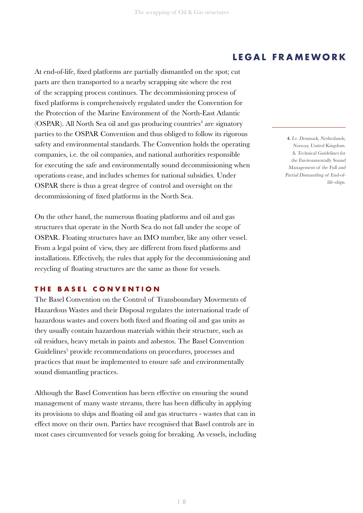At end-of-life, fixed platforms are partially dismantled on the spot; cut parts are then transported to a nearby scrapping site where the rest of the scrapping process continues. The decommissioning process of fixed platforms is comprehensively regulated under the Convention for the Protection of the Marine Environment of the North-East Atlantic (OSPAR). All North Sea oil and gas producing countries<sup>4</sup> are signatory parties to the OSPAR Convention and thus obliged to follow its rigorous safety and environmental standards. The Convention holds the operating companies, i.e. the oil companies, and national authorities responsible for executing the safe and environmentally sound decommissioning when operations cease, and includes schemes for national subsidies. Under OSPAR there is thus a great degree of control and oversight on the decommissioning of fixed platforms in the North Sea.

On the other hand, the numerous floating platforms and oil and gas structures that operate in the North Sea do not fall under the scope of OSPAR. Floating structures have an IMO number, like any other vessel. From a legal point of view, they are different from fixed platforms and installations. Effectively, the rules that apply for the decommissioning and recycling of floating structures are the same as those for vessels.

#### **THE BASEL CONVENTION**

The Basel Convention on the Control of Transboundary Movements of Hazardous Wastes and their Disposal regulates the international trade of hazardous wastes and covers both fixed and floating oil and gas units as they usually contain hazardous materials within their structure, such as oil residues, heavy metals in paints and asbestos. The Basel Convention Guidelines<sup>5</sup> provide recommendations on procedures, processes and practices that must be implemented to ensure safe and environmentally sound dismantling practices.

Although the Basel Convention has been effective on ensuring the sound management of many waste streams, there has been difficulty in applying its provisions to ships and floating oil and gas structures - wastes that can in effect move on their own. Parties have recognised that Basel controls are in most cases circumvented for vessels going for breaking. As vessels, including

#### **LEGAL FRAMEWORK**

4. I.e. Denmark, Netherlands, Norway, United Kingdom. 5. Technical Guidelines for the Environmentally Sound Management of the Full and Partial Dismantling of End-oflife-ships.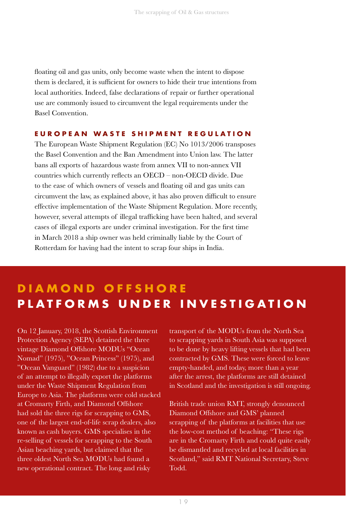floating oil and gas units, only become waste when the intent to dispose them is declared, it is sufficient for owners to hide their true intentions from local authorities. Indeed, false declarations of repair or further operational use are commonly issued to circumvent the legal requirements under the Basel Convention.

#### **EUROPEAN WASTE SHIPMENT REGULATION**

The European Waste Shipment Regulation (EC) No 1013/2006 transposes the Basel Convention and the Ban Amendment into Union law. The latter bans all exports of hazardous waste from annex VII to non-annex VII countries which currently reflects an OECD – non-OECD divide. Due to the ease of which owners of vessels and floating oil and gas units can circumvent the law, as explained above, it has also proven difficult to ensure effective implementation of the Waste Shipment Regulation. More recently, however, several attempts of illegal trafficking have been halted, and several cases of illegal exports are under criminal investigation. For the first time in March 2018 a ship owner was held criminally liable by the Court of Rotterdam for having had the intent to scrap four ships in India.

#### **DIAMOND OFFSHORE PLATFORMS UNDER INVESTIGATION**

On 12 January, 2018, the Scottish Environment Protection Agency (SEPA) detained the three vintage Diamond Offshore MODUs "Ocean Nomad" (1975), "Ocean Princess" (1975), and "Ocean Vanguard" (1982) due to a suspicion of an attempt to illegally export the platforms under the Waste Shipment Regulation from Europe to Asia. The platforms were cold stacked at Cromarty Firth, and Diamond Offshore had sold the three rigs for scrapping to GMS, one of the largest end-of-life scrap dealers, also known as cash buyers. GMS specialises in the re-selling of vessels for scrapping to the South Asian beaching yards, but claimed that the three oldest North Sea MODUs had found a new operational contract. The long and risky

transport of the MODUs from the North Sea to scrapping yards in South Asia was supposed to be done by heavy lifting vessels that had been contracted by GMS. These were forced to leave empty-handed, and today, more than a year after the arrest, the platforms are still detained in Scotland and the investigation is still ongoing.

British trade union RMT, strongly denounced Diamond Offshore and GMS' planned scrapping of the platforms at facilities that use the low-cost method of beaching: "These rigs are in the Cromarty Firth and could quite easily be dismantled and recycled at local facilities in Scotland," said RMT National Secretary, Steve Todd.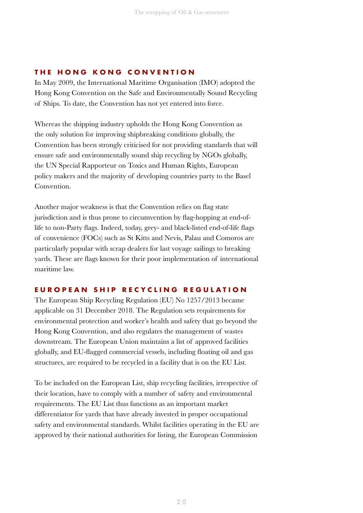#### **THE HONG KONG CONVENTION**

In May 2009, the International Maritime Organisation (IMO) adopted the Hong Kong Convention on the Safe and Environmentally Sound Recycling of Ships. To date, the Convention has not yet entered into force.

Whereas the shipping industry upholds the Hong Kong Convention as the only solution for improving shipbreaking conditions globally, the Convention has been strongly criticised for not providing standards that will ensure safe and environmentally sound ship recycling by NGOs globally, the UN Special Rapporteur on Toxics and Human Rights, European policy makers and the majority of developing countries party to the Basel Convention.

Another major weakness is that the Convention relies on flag state jurisdiction and is thus prone to circumvention by flag-hopping at end-oflife to non-Party flags. Indeed, today, grey- and black-listed end-of-life flags of convenience (FOCs) such as St Kitts and Nevis, Palau and Comoros are particularly popular with scrap dealers for last voyage sailings to breaking yards. These are flags known for their poor implementation of international maritime law.

#### **EUROPEAN SHIP RECYCLING REGULATION**

The European Ship Recycling Regulation (EU) No 1257/2013 became applicable on 31 December 2018. The Regulation sets requirements for environmental protection and worker's health and safety that go beyond the Hong Kong Convention, and also regulates the management of wastes downstream. The European Union maintains a list of approved facilities globally, and EU-flagged commercial vessels, including floating oil and gas structures, are required to be recycled in a facility that is on the EU List.

To be included on the European List, ship recycling facilities, irrespective of their location, have to comply with a number of safety and environmental requirements. The EU List thus functions as an important market differentiator for yards that have already invested in proper occupational safety and environmental standards. Whilst facilities operating in the EU are approved by their national authorities for listing, the European Commission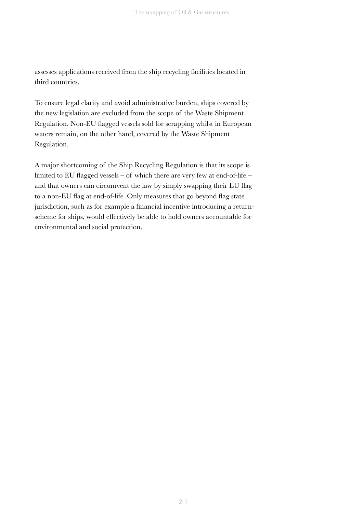assesses applications received from the ship recycling facilities located in third countries.

To ensure legal clarity and avoid administrative burden, ships covered by the new legislation are excluded from the scope of the Waste Shipment Regulation. Non-EU flagged vessels sold for scrapping whilst in European waters remain, on the other hand, covered by the Waste Shipment Regulation.

A major shortcoming of the Ship Recycling Regulation is that its scope is limited to EU flagged vessels – of which there are very few at end-of-life – and that owners can circumvent the law by simply swapping their EU flag to a non-EU flag at end-of-life. Only measures that go beyond flag state jurisdiction, such as for example a financial incentive introducing a returnscheme for ships, would effectively be able to hold owners accountable for environmental and social protection.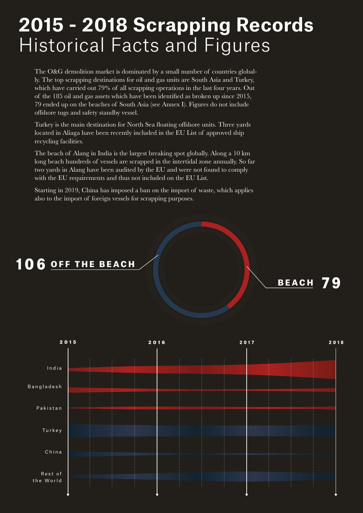## **2015 - 2018 Scrapping Records** Historical Facts and Figures

The O&G demolition market is dominated by a small number of countries globally. The top scrapping destinations for oil and gas units are South Asia and Turkey, which have carried out 79% of all scrapping operations in the last four years. Out of the 185 oil and gas assets which have been identified as broken up since 2015, 79 ended up on the beaches of South Asia (see Annex I). Figures do not include offshore tugs and safety standby vessel.

Turkey is the main destination for North Sea floating offshore units. Three yards located in Aliaga have been recently included in the EU List of approved ship recycling facilities.

The beach of Alang in India is the largest breaking spot globally. Along a 10 km long beach hundreds of vessels are scrapped in the intertidal zone annually. So far two yards in Alang have been audited by the EU and were not found to comply with the EU requirements and thus not included on the EU List.

Starting in 2019, China has imposed a ban on the import of waste, which applies also to the import of foreign vessels for scrapping purposes.

#### 106 <u>огг тне веасн</u>



<u>веасн</u> 79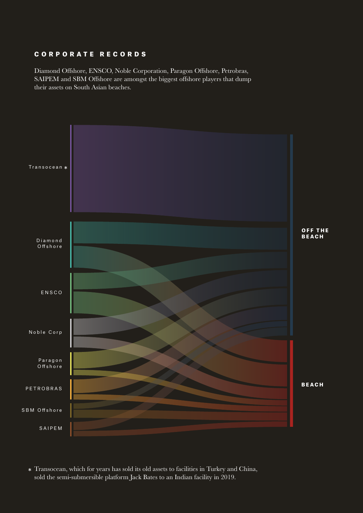#### CORPORATE RECORDS

Diamond Offshore, ENSCO, Noble Corporation, Paragon Offshore, Petrobras, SAIPEM and SBM Offshore are amongst the biggest offshore players that dump their assets on South Asian beaches.



Transocean, which for years has sold its old assets to facilities in Turkey and China, sold the semi-submersible platform Jack Bates to an Indian facility in 2019.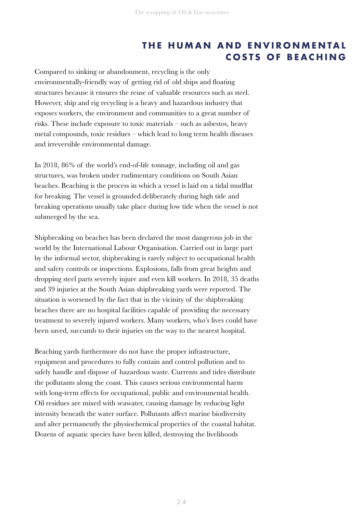#### **THE HUMAN AND ENVIRONMENTAL COSTS OF BEACHING**

Compared to sinking or abandonment, recycling is the only environmentally-friendly way of getting rid of old ships and floating structures because it ensures the reuse of valuable resources such as steel. However, ship and rig recycling is a heavy and hazardous industry that exposes workers, the environment and communities to a great number of risks. These include exposure to toxic materials – such as asbestos, heavy metal compounds, toxic residues – which lead to long term health diseases and irreversible environmental damage.

In 2018, 86% of the world's end-of-life tonnage, including oil and gas structures, was broken under rudimentary conditions on South Asian beaches. Beaching is the process in which a vessel is laid on a tidal mudflat for breaking. The vessel is grounded deliberately during high tide and breaking operations usually take place during low tide when the vessel is not submerged by the sea.

Shipbreaking on beaches has been declared the most dangerous job in the world by the International Labour Organisation. Carried out in large part by the informal sector, shipbreaking is rarely subject to occupational health and safety controls or inspections. Explosions, falls from great heights and dropping steel parts severely injure and even kill workers. In 2018, 35 deaths and 39 injuries at the South Asian shipbreaking yards were reported. The situation is worsened by the fact that in the vicinity of the shipbreaking beaches there are no hospital facilities capable of providing the necessary treatment to severely injured workers. Many workers, who's lives could have been saved, succumb to their injuries on the way to the nearest hospital.

Beaching yards furthermore do not have the proper infrastructure, equipment and procedures to fully contain and control pollution and to safely handle and dispose of hazardous waste. Currents and tides distribute the pollutants along the coast. This causes serious environmental harm with long-term effects for occupational, public and environmental health. Oil residues are mixed with seawater, causing damage by reducing light intensity beneath the water surface. Pollutants affect marine biodiversity and alter permanently the physiochemical properties of the coastal habitat. Dozens of aquatic species have been killed, destroying the livelihoods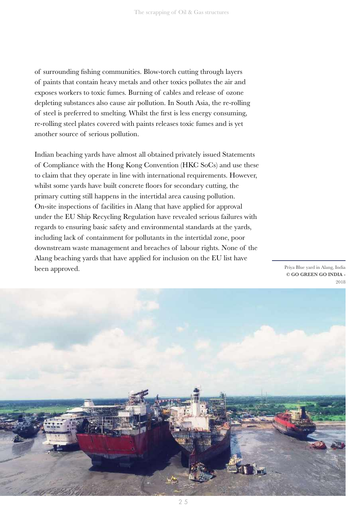of surrounding fishing communities. Blow-torch cutting through layers of paints that contain heavy metals and other toxics pollutes the air and exposes workers to toxic fumes. Burning of cables and release of ozone depleting substances also cause air pollution. In South Asia, the re-rolling of steel is preferred to smelting. Whilst the first is less energy consuming, re-rolling steel plates covered with paints releases toxic fumes and is yet another source of serious pollution.

Indian beaching yards have almost all obtained privately issued Statements of Compliance with the Hong Kong Convention (HKC SoCs) and use these to claim that they operate in line with international requirements. However, whilst some yards have built concrete floors for secondary cutting, the primary cutting still happens in the intertidal area causing pollution. On-site inspections of facilities in Alang that have applied for approval under the EU Ship Recycling Regulation have revealed serious failures with regards to ensuring basic safety and environmental standards at the yards, including lack of containment for pollutants in the intertidal zone, poor downstream waste management and breaches of labour rights. None of the Alang beaching yards that have applied for inclusion on the EU list have been approved.

Priya Blue yard in Alang, India © GO GREEN GO INDIA - 2018

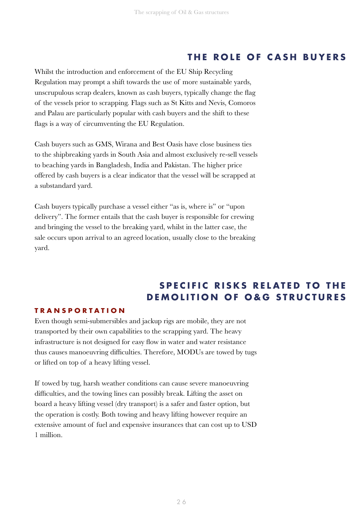#### **THE ROLE OF CASH BUYERS**

Whilst the introduction and enforcement of the EU Ship Recycling Regulation may prompt a shift towards the use of more sustainable yards, unscrupulous scrap dealers, known as cash buyers, typically change the flag of the vessels prior to scrapping. Flags such as St Kitts and Nevis, Comoros and Palau are particularly popular with cash buyers and the shift to these flags is a way of circumventing the EU Regulation.

Cash buyers such as GMS, Wirana and Best Oasis have close business ties to the shipbreaking yards in South Asia and almost exclusively re-sell vessels to beaching yards in Bangladesh, India and Pakistan. The higher price offered by cash buyers is a clear indicator that the vessel will be scrapped at a substandard yard.

Cash buyers typically purchase a vessel either "as is, where is" or "upon delivery". The former entails that the cash buyer is responsible for crewing and bringing the vessel to the breaking yard, whilst in the latter case, the sale occurs upon arrival to an agreed location, usually close to the breaking yard.

#### **SPECIFIC RISKS RELATED TO THE DEMOLITION OF O&G STRUCTURES**

#### **TRANSPORTATION**

Even though semi-submersibles and jackup rigs are mobile, they are not transported by their own capabilities to the scrapping yard. The heavy infrastructure is not designed for easy flow in water and water resistance thus causes manoeuvring difficulties. Therefore, MODUs are towed by tugs or lifted on top of a heavy lifting vessel.

If towed by tug, harsh weather conditions can cause severe manoeuvring difficulties, and the towing lines can possibly break. Lifting the asset on board a heavy lifting vessel (dry transport) is a safer and faster option, but the operation is costly. Both towing and heavy lifting however require an extensive amount of fuel and expensive insurances that can cost up to USD 1 million.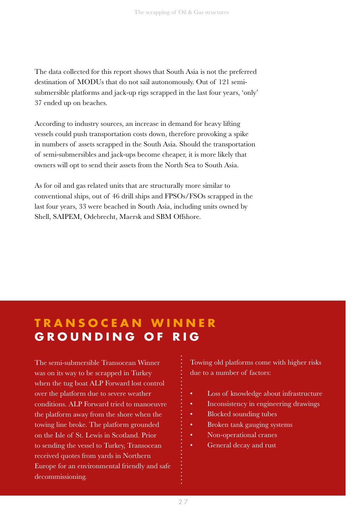The data collected for this report shows that South Asia is not the preferred destination of MODUs that do not sail autonomously. Out of 121 semisubmersible platforms and jack-up rigs scrapped in the last four years, 'only' 37 ended up on beaches.

According to industry sources, an increase in demand for heavy lifting vessels could push transportation costs down, therefore provoking a spike in numbers of assets scrapped in the South Asia. Should the transportation of semi-submersibles and jack-ups become cheaper, it is more likely that owners will opt to send their assets from the North Sea to South Asia.

As for oil and gas related units that are structurally more similar to conventional ships, out of 46 drill ships and FPSOs/FSOs scrapped in the last four years, 33 were beached in South Asia, including units owned by Shell, SAIPEM, Odebrecht, Maersk and SBM Offshore.

#### **TRANSOCEAN WINNER GROUNDING OF RIG**

The semi-submersible Transocean Winner was on its way to be scrapped in Turkey when the tug boat ALP Forward lost control over the platform due to severe weather conditions. ALP Forward tried to manoeuvre the platform away from the shore when the towing line broke. The platform grounded on the Isle of St. Lewis in Scotland. Prior to sending the vessel to Turkey, Transocean received quotes from yards in Northern Europe for an environmental friendly and safe decommissioning.

Towing old platforms come with higher risks due to a number of factors:

- Loss of knowledge about infrastructure
- Inconsistency in engineering drawings
- Blocked sounding tubes
- Broken tank gauging systems
- Non-operational cranes
- General decay and rust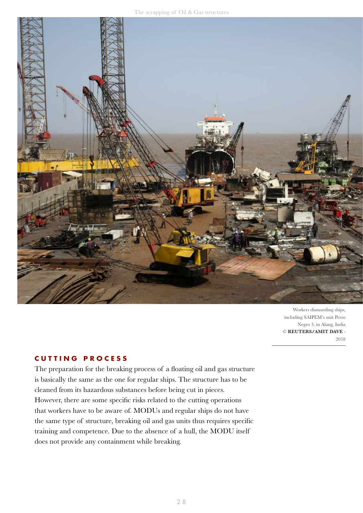

Workers dismantling ships, including SAIPEM's unit Perro Negro 3, in Alang, India © **REUTERS/AMIT DAVE** - 2018

#### **CUTTING PROCESS**

The preparation for the breaking process of a floating oil and gas structure is basically the same as the one for regular ships. The structure has to be cleaned from its hazardous substances before being cut in pieces. However, there are some specific risks related to the cutting operations that workers have to be aware of. MODUs and regular ships do not have the same type of structure, breaking oil and gas units thus requires specific training and competence. Due to the absence of a hull, the MODU itself does not provide any containment while breaking.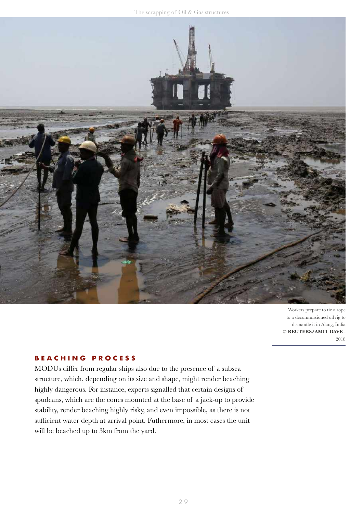

Workers prepare to tie a rope to a decommissioned oil rig to dismantle it in Alang, India © **REUTERS/AMIT DAVE** - 2018

#### **BEACHING PROCESS**

MODUs differ from regular ships also due to the presence of a subsea structure, which, depending on its size and shape, might render beaching highly dangerous. For instance, experts signalled that certain designs of spudcans, which are the cones mounted at the base of a jack-up to provide stability, render beaching highly risky, and even impossible, as there is not sufficient water depth at arrival point. Futhermore, in most cases the unit will be beached up to 3km from the yard.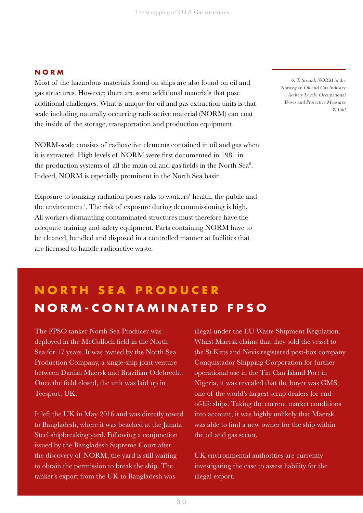#### **NORM**

Most of the hazardous materials found on ships are also found on oil and gas structures. However, there are some additional materials that pose additional challenges. What is unique for oil and gas extraction units is that scale including naturally occurring radioactive material (NORM) can coat the inside of the storage, transportation and production equipment.

NORM-scale consists of radioactive elements contained in oil and gas when it is extracted. High levels of NORM were first documented in 1981 in the production systems of all the main oil and gas fields in the North Sea $6$ . Indeed, NORM is especially prominent in the North Sea basin.

Exposure to ionizing radiation poses risks to workers' health, the public and the environment<sup>7</sup>. The risk of exposure during decommissioning is high. All workers dismantling contaminated structures must therefore have the adequate training and safety equipment. Parts containing NORM have to be cleaned, handled and disposed in a controlled manner at facilities that are licensed to handle radioactive waste.

6. T. Strand, NORM in the Norwegian Oil and Gas Industry – Activity Levels, Occupational Doses and Protective Measures 7. Ibid

### **NORM-CONTAMINATED FPSO NORTH SEA PRODUCER**

The FPSO tanker North Sea Producer was deployed in the McCulloch field in the North Sea for 17 years. It was owned by the North Sea Production Company, a single-ship joint venture between Danish Maersk and Brazilian Odebrecht. Once the field closed, the unit was laid up in Teesport, UK.

It left the UK in May 2016 and was directly towed to Bangladesh, where it was beached at the Janata Steel shipbreaking yard. Following a conjunction issued by the Bangladesh Supreme Court after the discovery of NORM, the yard is still waiting to obtain the permission to break the ship. The tanker's export from the UK to Bangladesh was

illegal under the EU Waste Shipment Regulation. Whilst Maersk claims that they sold the vessel to the St Kitts and Nevis registered post-box company Conquistador Shipping Corporation for further operational use in the Tin Can Island Port in Nigeria, it was revealed that the buyer was GMS, one of the world's largest scrap dealers for endof-life ships. Taking the current market conditions into account, it was highly unlikely that Maersk was able to find a new owner for the ship within the oil and gas sector.

UK environmental authorities are currently investigating the case to assess liability for the illegal export.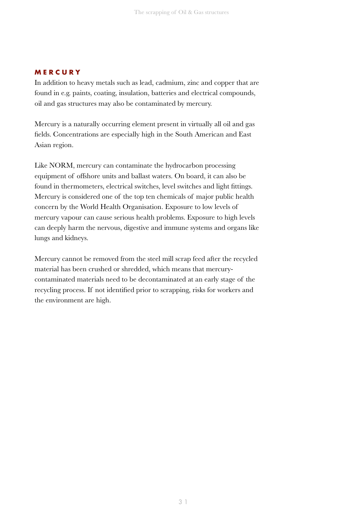#### **MERCURY**

In addition to heavy metals such as lead, cadmium, zinc and copper that are found in e.g. paints, coating, insulation, batteries and electrical compounds, oil and gas structures may also be contaminated by mercury.

Mercury is a naturally occurring element present in virtually all oil and gas fields. Concentrations are especially high in the South American and East Asian region.

Like NORM, mercury can contaminate the hydrocarbon processing equipment of offshore units and ballast waters. On board, it can also be found in thermometers, electrical switches, level switches and light fittings. Mercury is considered one of the top ten chemicals of major public health concern by the World Health Organisation. Exposure to low levels of mercury vapour can cause serious health problems. Exposure to high levels can deeply harm the nervous, digestive and immune systems and organs like lungs and kidneys.

Mercury cannot be removed from the steel mill scrap feed after the recycled material has been crushed or shredded, which means that mercurycontaminated materials need to be decontaminated at an early stage of the recycling process. If not identified prior to scrapping, risks for workers and the environment are high.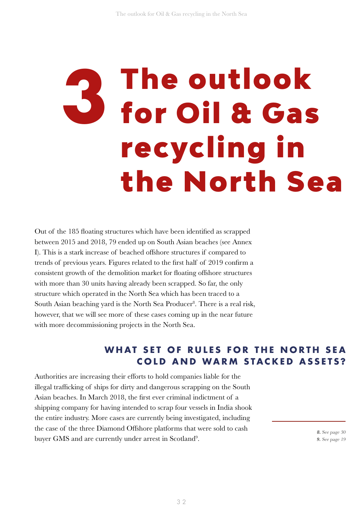# **3** The outlook for Oil & Gas recycling in the North Sea

Out of the 185 floating structures which have been identified as scrapped between 2015 and 2018, 79 ended up on South Asian beaches (see Annex I). This is a stark increase of beached offshore structures if compared to trends of previous years. Figures related to the first half of 2019 confirm a consistent growth of the demolition market for floating offshore structures with more than 30 units having already been scrapped. So far, the only structure which operated in the North Sea which has been traced to a South Asian beaching yard is the North Sea Producer<sup>8</sup>. There is a real risk, however, that we will see more of these cases coming up in the near future with more decommissioning projects in the North Sea.

#### WHAT SET OF RULES FOR THE NORTH SEA **COLD AND WARM STACKED ASSETS?**

Authorities are increasing their efforts to hold companies liable for the illegal trafficking of ships for dirty and dangerous scrapping on the South Asian beaches. In March 2018, the first ever criminal indictment of a shipping company for having intended to scrap four vessels in India shook the entire industry. More cases are currently being investigated, including the case of the three Diamond Offshore platforms that were sold to cash buyer GMS and are currently under arrest in Scotland<sup>9</sup>.

8. See page 30 9. See page 19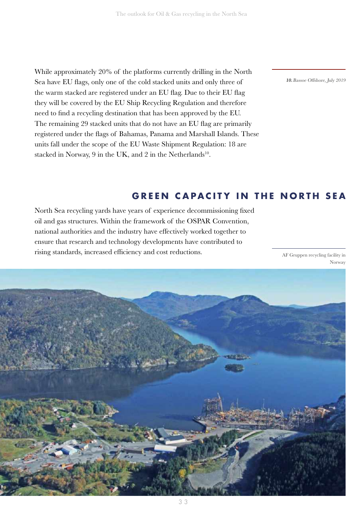While approximately 20% of the platforms currently drilling in the North Sea have EU flags, only one of the cold stacked units and only three of the warm stacked are registered under an EU flag. Due to their EU flag they will be covered by the EU Ship Recycling Regulation and therefore need to find a recycling destination that has been approved by the EU. The remaining 29 stacked units that do not have an EU flag are primarily registered under the flags of Bahamas, Panama and Marshall Islands. These units fall under the scope of the EU Waste Shipment Regulation: 18 are stacked in Norway, 9 in the UK, and 2 in the Netherlands<sup>10</sup>.

10.Bassoe Offshore, July 2019

#### **GREEN CAPACITY IN THE NORTH SEA**

North Sea recycling yards have years of experience decommissioning fixed oil and gas structures. Within the framework of the OSPAR Convention, national authorities and the industry have effectively worked together to ensure that research and technology developments have contributed to rising standards, increased efficiency and cost reductions. AF Gruppen recycling facility in

Norway

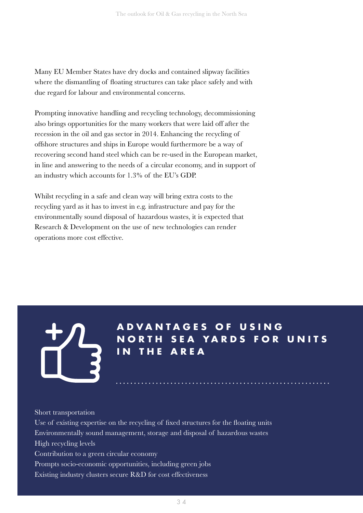Many EU Member States have dry docks and contained slipway facilities where the dismantling of floating structures can take place safely and with due regard for labour and environmental concerns.

Prompting innovative handling and recycling technology, decommissioning also brings opportunities for the many workers that were laid off after the recession in the oil and gas sector in 2014. Enhancing the recycling of offshore structures and ships in Europe would furthermore be a way of recovering second hand steel which can be re-used in the European market, in line and answering to the needs of a circular economy, and in support of an industry which accounts for 1.3% of the EU's GDP.

Whilst recycling in a safe and clean way will bring extra costs to the recycling yard as it has to invest in e.g. infrastructure and pay for the environmentally sound disposal of hazardous wastes, it is expected that Research & Development on the use of new technologies can render operations more cost effective.



**A D V A N T A G E S O F U S I N G NORTH SEA YARDS FOR UNITS IN THE AREA**

#### Short transportation

Use of existing expertise on the recycling of fixed structures for the floating units Environmentally sound management, storage and disposal of hazardous wastes High recycling levels Contribution to a green circular economy Prompts socio-economic opportunities, including green jobs Existing industry clusters secure R&D for cost effectiveness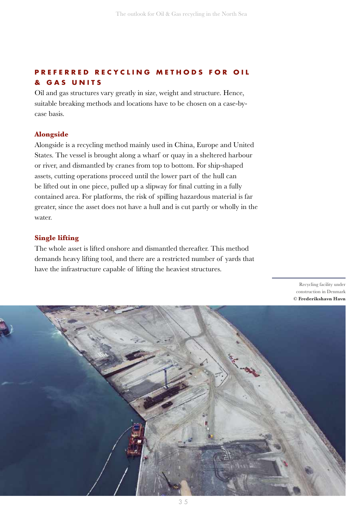#### **PREFERRED RECYCLING METHODS FOR OIL & G A S U N I T S**

Oil and gas structures vary greatly in size, weight and structure. Hence, suitable breaking methods and locations have to be chosen on a case-bycase basis.

#### **Alongside**

Alongside is a recycling method mainly used in China, Europe and United States. The vessel is brought along a wharf or quay in a sheltered harbour or river, and dismantled by cranes from top to bottom. For ship-shaped assets, cutting operations proceed until the lower part of the hull can be lifted out in one piece, pulled up a slipway for final cutting in a fully contained area. For platforms, the risk of spilling hazardous material is far greater, since the asset does not have a hull and is cut partly or wholly in the water.

#### **Single lifting**

The whole asset is lifted onshore and dismantled thereafter. This method demands heavy lifting tool, and there are a restricted number of yards that have the infrastructure capable of lifting the heaviest structures.

> Recycling facility under construction in Denmark **© Frederikshavn Havn**

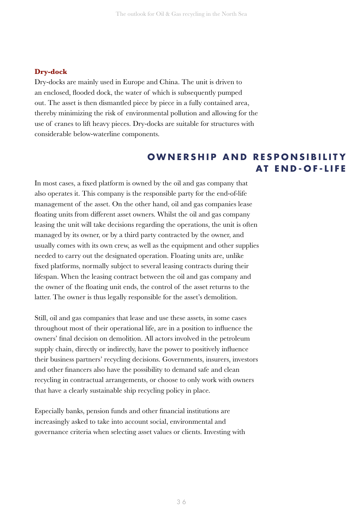#### **Dry-dock**

Dry-docks are mainly used in Europe and China. The unit is driven to an enclosed, flooded dock, the water of which is subsequently pumped out. The asset is then dismantled piece by piece in a fully contained area, thereby minimizing the risk of environmental pollution and allowing for the use of cranes to lift heavy pieces. Dry-docks are suitable for structures with considerable below-waterline components.

#### **OWNERSHIP AND RESPONSIBILITY AT END-OF-LIFE**

In most cases, a fixed platform is owned by the oil and gas company that also operates it. This company is the responsible party for the end-of-life management of the asset. On the other hand, oil and gas companies lease floating units from different asset owners. Whilst the oil and gas company leasing the unit will take decisions regarding the operations, the unit is often managed by its owner, or by a third party contracted by the owner, and usually comes with its own crew, as well as the equipment and other supplies needed to carry out the designated operation. Floating units are, unlike fixed platforms, normally subject to several leasing contracts during their lifespan. When the leasing contract between the oil and gas company and the owner of the floating unit ends, the control of the asset returns to the latter. The owner is thus legally responsible for the asset's demolition.

Still, oil and gas companies that lease and use these assets, in some cases throughout most of their operational life, are in a position to influence the owners' final decision on demolition. All actors involved in the petroleum supply chain, directly or indirectly, have the power to positively influence their business partners' recycling decisions. Governments, insurers, investors and other financers also have the possibility to demand safe and clean recycling in contractual arrangements, or choose to only work with owners that have a clearly sustainable ship recycling policy in place.

Especially banks, pension funds and other financial institutions are increasingly asked to take into account social, environmental and governance criteria when selecting asset values or clients. Investing with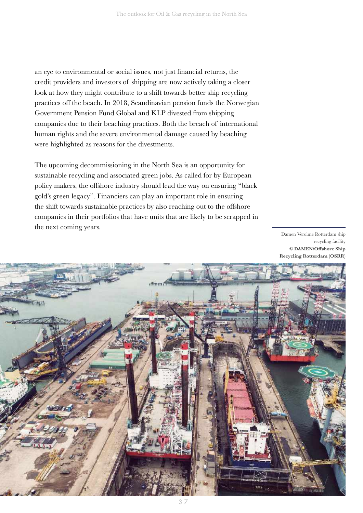an eye to environmental or social issues, not just financial returns, the credit providers and investors of shipping are now actively taking a closer look at how they might contribute to a shift towards better ship recycling practices off the beach. In 2018, Scandinavian pension funds the Norwegian Government Pension Fund Global and KLP divested from shipping companies due to their beaching practices. Both the breach of international human rights and the severe environmental damage caused by beaching were highlighted as reasons for the divestments.

The upcoming decommissioning in the North Sea is an opportunity for sustainable recycling and associated green jobs. As called for by European policy makers, the offshore industry should lead the way on ensuring "black gold's green legacy". Financiers can play an important role in ensuring the shift towards sustainable practices by also reaching out to the offshore companies in their portfolios that have units that are likely to be scrapped in the next coming years.

Damen Verolme Rotterdam ship recycling facility © DAMEN/Offshore Ship Recycling Rotterdam (OSRR)

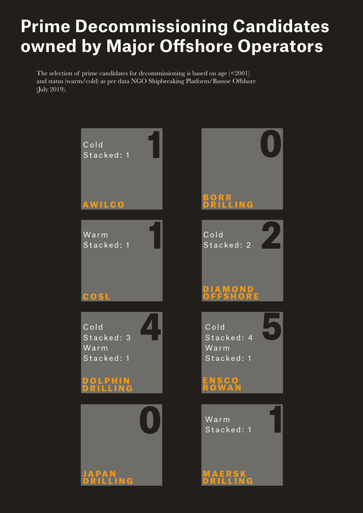### **Prime Decommissioning Candidates owned by Major Offshore Operators**

The selection of prime candidates for decommissioning is based on age  $($ and status (warm/cold) as per data NGO Shipbreaking Platform/Bassoe Offshore (July 2019).

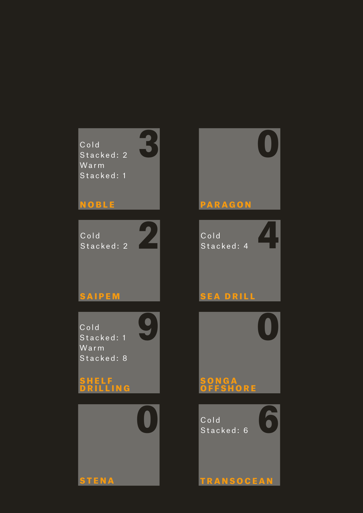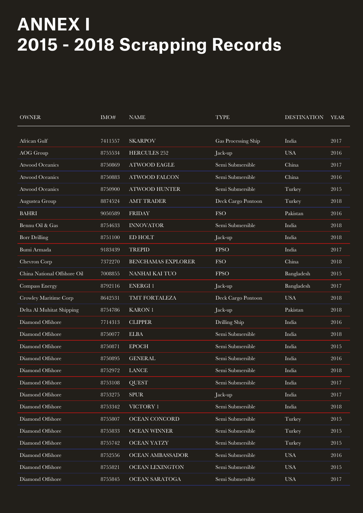### **ANNEX I 2015 - 2018 Scrapping Records**

| <b>OWNER</b>                | IMO#    | <b>NAME</b>               | <b>TYPE</b>         | <b>DESTINATION</b> | <b>YEAR</b> |
|-----------------------------|---------|---------------------------|---------------------|--------------------|-------------|
| African Gulf                | 7411557 | <b>SKARPOV</b>            | Gas Processing Ship | India              | 2017        |
| <b>AOG</b> Group            | 8755534 | <b>HERCULES 252</b>       | Jack-up             | <b>USA</b>         | 2016        |
| <b>Atwood Oceanics</b>      | 8750869 | <b>ATWOOD EAGLE</b>       | Semi Submersible    | China              | 2017        |
| <b>Atwood Oceanics</b>      | 8750883 | <b>ATWOOD FALCON</b>      | Semi Submersible    | China              | 2016        |
| <b>Atwood Oceanics</b>      | 8750900 | <b>ATWOOD HUNTER</b>      | Semi Submersible    | Turkey             | 2015        |
| Augustea Group              | 8874524 | <b>AMT TRADER</b>         | Deck Cargo Pontoon  | Turkey             | 2018        |
| <b>BAHRI</b>                | 9050589 | <b>FRIDAY</b>             | <b>FSO</b>          | Pakistan           | 2016        |
| Bennu Oil & Gas             | 8754633 | <b>INNOVATOR</b>          | Semi Submersible    | India              | 2018        |
| <b>Borr Drilling</b>        | 8751100 | ED HOLT                   | Jack-up             | India              | 2018        |
| Bumi Armada                 | 9183439 | <b>TREPID</b>             | <b>FPSO</b>         | India              | 2017        |
| Chevron Corp                | 7372270 | <b>BENCHAMAS EXPLORER</b> | <b>FSO</b>          | China              | 2018        |
| China National Offshore Oil | 7008855 | NANHAI KAI TUO            | <b>FPSO</b>         | Bangladesh         | 2015        |
| Compass Energy              | 8792116 | <b>ENERGI1</b>            | Jack-up             | Bangladesh         | 2017        |
| Crowley Maritime Corp       | 8642531 | TMT FORTALEZA             | Deck Cargo Pontoon  | $_{\mathrm{USA}}$  | 2018        |
| Delta Al Muhitat Shipping   | 8754786 | <b>KARON1</b>             | Jack-up             | Pakistan           | 2018        |
| Diamond Offshore            | 7714313 | <b>CLIPPER</b>            | Drilling Ship       | India              | 2016        |
| Diamond Offshore            | 8750077 | <b>ELBA</b>               | Semi Submersible    | India              | 2018        |
| Diamond Offshore            | 8750871 | <b>EPOCH</b>              | Semi Submersible    | India              | 2015        |
| Diamond Offshore            | 8750895 | <b>GENERAL</b>            | Semi Submersible    | India              | 2016        |
| Diamond Offshore            | 8752972 | <b>LANCE</b>              | Semi Submersible    | India              | 2018        |
| Diamond Offshore            | 8753108 | <b>QUEST</b>              | Semi Submersible    | India              | $2017\,$    |
| Diamond Offshore            | 8753275 | <b>SPUR</b>               | Jack-up             | India              | 2017        |
| Diamond Offshore            | 8753342 | VICTORY 1                 | Semi Submersible    | India              | 2018        |
| Diamond Offshore            | 8755807 | OCEAN CONCORD             | Semi Submersible    | Turkey             | 2015        |
| Diamond Offshore            | 8755833 | <b>OCEAN WINNER</b>       | Semi Submersible    | Turkey             | 2015        |
| Diamond Offshore            | 8755742 | <b>OCEAN YATZY</b>        | Semi Submersible    | Turkey             | 2015        |
| Diamond Offshore            | 8752556 | OCEAN AMBASSADOR          | Semi Submersible    | $_{\mathrm{USA}}$  | 2016        |
| Diamond Offshore            | 8755821 | OCEAN LEXINGTON           | Semi Submersible    | $_{\mathrm{USA}}$  | 2015        |
| Diamond Offshore            | 8755845 | OCEAN SARATOGA            | Semi Submersible    | $_{\mathrm{USA}}$  | 2017        |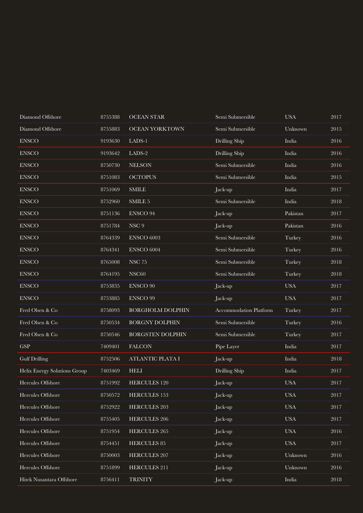| Diamond Offshore             | 8755388 | <b>OCEAN STAR</b>       | Semi Submersible       | <b>USA</b> | 2017     |
|------------------------------|---------|-------------------------|------------------------|------------|----------|
| Diamond Offshore             | 8755883 | <b>OCEAN YORKTOWN</b>   | Semi Submersible       | Unknown    | 2015     |
| <b>ENSCO</b>                 | 9193630 | LADS-1                  | Drilling Ship          | India      | 2016     |
| ${\rm ENSCO}$                | 9193642 | LADS-2                  | Drilling Ship          | India      | 2016     |
| ${\rm ENSCO}$                | 8750730 | <b>NELSON</b>           | Semi Submersible       | India      | 2016     |
| ${\rm ENSCO}$                | 8751083 | <b>OCTOPUS</b>          | Semi Submersible       | India      | 2015     |
| ${\rm ENSCO}$                | 8751069 | <b>SMILE</b>            | Jack-up                | India      | 2017     |
| ${\rm ENSCO}$                | 8752960 | SMILE 5                 | Semi Submersible       | India      | 2018     |
| ${\rm ENSCO}$                | 8751136 | <b>ENSCO 94</b>         | Jack-up                | Pakistan   | 2017     |
| ${\rm ENSCO}$                | 8751784 | ${\rm NSC}$ 9           | Jack-up                | Pakistan   | 2016     |
| <b>ENSCO</b>                 | 8764339 | ENSCO 6003              | Semi Submersible       | Turkey     | 2016     |
| ${\rm ENSCO}$                | 8764341 | ENSCO 6004              | Semi Submersible       | Turkey     | 2016     |
| ${\rm ENSCO}$                | 8765008 | <b>NSC 75</b>           | Semi Submersible       | Turkey     | 2018     |
| <b>ENSCO</b>                 | 8764195 | NSC60                   | Semi Submersible       | Turkey     | 2018     |
| ${\rm ENSCO}$                | 8753835 | <b>ENSCO 90</b>         | Jack-up                | <b>USA</b> | 2017     |
| ${\rm ENSCO}$                | 8753885 | <b>ENSCO 99</b>         | Jack-up                | <b>USA</b> | 2017     |
| Fred Olsen & Co              | 8758093 | <b>BORGHOLM DOLPHIN</b> | Accommodation Platform | Turkey     | 2017     |
| Fred Olsen & Co              | 8750534 | <b>BORGNY DOLPHIN</b>   | Semi Submersible       | Turkey     | 2016     |
| Fred Olsen & Co              | 8750546 | <b>BORGSTEN DOLPHIN</b> | Semi Submersible       | Turkey     | 2017     |
| <b>GSP</b>                   | 7409401 | <b>FALCON</b>           | Pipe Layer             | India      | 2017     |
| <b>Gulf Drilling</b>         | 8752506 | ATLANTIC PLATA I        | Jack-up                | India      | 2018     |
| Helix Energy Solutions Group | 7403469 | <b>HELI</b>             | Drilling Ship          | India      | 2017     |
| Hercules Offshore            | 8751992 | <b>HERCULES 120</b>     | Jack-up                | <b>USA</b> | $2017\,$ |
| Hercules Offshore            | 8750572 | <b>HERCULES 153</b>     | Jack-up                | <b>USA</b> | 2017     |
| Hercules Offshore            | 8752922 | <b>HERCULES 203</b>     | Jack-up                | <b>USA</b> | 2017     |
| Hercules Offshore            | 8755405 | <b>HERCULES</b> 206     | Jack-up                | <b>USA</b> | 2017     |
| Hercules Offshore            | 8751954 | <b>HERCULES 265</b>     | Jack-up                | <b>USA</b> | 2016     |
| Hercules Offshore            | 8754451 | HERCULES 85             | Jack-up                | <b>USA</b> | 2017     |
| Hercules Offshore            | 8750003 | <b>HERCULES 207</b>     | Jack-up                | Unknown    | 2016     |
| Hercules Offshore            | 8751899 | HERCULES 211            | Jack-up                | Unknown    | $2016\,$ |
| Hitek Nusantara Offshore     | 8756411 | <b>TRINITY</b>          | Jack-up                | India      | 2018     |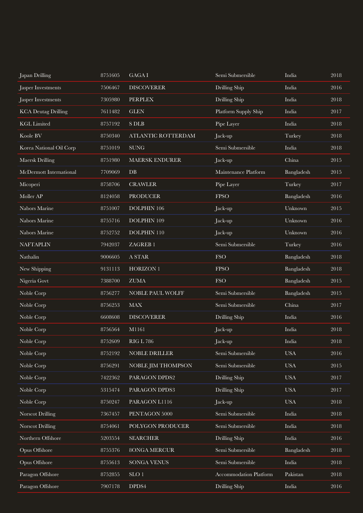| Japan Drilling             | 8751605 | GAGA I                        | Semi Submersible       | India      | 2018     |
|----------------------------|---------|-------------------------------|------------------------|------------|----------|
| Jasper Investments         | 7506467 | <b>DISCOVERER</b>             | Drilling Ship          | India      | 2016     |
| Jasper Investments         | 7305980 | <b>PERPLEX</b>                | Drilling Ship          | India      | 2018     |
| <b>KCA Deutag Drilling</b> | 7611482 | <b>GLEN</b>                   | Platform Supply Ship   | India      | 2017     |
| <b>KGL</b> Limited         | 8757192 | <b>S DLB</b>                  | Pipe Layer             | India      | 2018     |
| Koole BV                   | 8750340 | ATLANTIC ROTTERDAM            | Jack-up                | Turkey     | 2018     |
| Korea National Oil Corp    | 8751019 | <b>SUNG</b>                   | Semi Submersible       | India      | 2018     |
| Maersk Drilling            | 8751980 | <b>MAERSK ENDURER</b>         | Jack-up                | China      | 2015     |
| McDermott International    | 7709069 | DB                            | Maintenance Platform   | Bangladesh | 2015     |
| Micoperi                   | 8758706 | <b>CRAWLER</b>                | Pipe Layer             | Turkey     | 2017     |
| Moller AP                  | 8124058 | <b>PRODUCER</b>               | <b>FPSO</b>            | Bangladesh | 2016     |
| Nabors Marine              | 8751007 | DOLPHIN 106                   | Jack-up                | Unknown    | 2015     |
| Nabors Marine              | 8755716 | DOLPHIN 109                   | Jack-up                | Unknown    | 2016     |
| Nabors Marine              | 8752752 | DOLPHIN 110                   | Jack-up                | Unknown    | 2016     |
| <b>NAFTAPLIN</b>           | 7942037 | ZAGREB <sub>1</sub>           | Semi Submersible       | Turkey     | 2016     |
| Nathalin                   | 9006605 | A STAR                        | <b>FSO</b>             | Bangladesh | 2018     |
| New Shipping               | 9131113 | HORIZON 1                     | <b>FPSO</b>            | Bangladesh | 2018     |
| Nigeria Govt               | 7388700 | ${\rm ZUMA}$                  | <b>FSO</b>             | Bangladesh | 2015     |
| Noble Corp                 | 8756277 | NOBLE PAUL WOLFF              | Semi Submersible       | Bangladesh | 2015     |
| Noble Corp                 | 8756253 | MAX                           | Semi Submersible       | China      | 2017     |
| Noble Corp                 | 6608608 | <b>DISCOVERER</b>             | Drilling Ship          | India      | 2016     |
| Noble Corp                 | 8756564 | M1161                         | Jack-up                | India      | 2018     |
| Noble Corp                 | 8752609 | <b>RIG L 786</b>              | Jack-up                | India      | 2018     |
| Noble Corp                 | 8752192 | NOBLE DRILLER                 | Semi Submersible       | <b>USA</b> | 2016     |
| Noble Corp                 | 8756291 | NOBLE JIM THOMPSON            | Semi Submersible       | <b>USA</b> | $2015\,$ |
| Noble Corp                 | 7422362 | PARAGON DPDS2                 | Drilling Ship          | <b>USA</b> | 2017     |
| Noble Corp                 | 5315474 | PARAGON DPDS3                 | Drilling Ship          | <b>USA</b> | 2017     |
| Noble Corp                 | 8750247 | PARAGON L1116                 | Jack-up                | <b>USA</b> | 2018     |
| Norscot Drilling           | 7367457 | PENTAGON 5000                 | Semi Submersible       | India      | 2018     |
| Norscot Drilling           | 8754061 | POLYGON PRODUCER              | Semi Submersible       | India      | 2018     |
| Northern Offshore          | 5203554 | <b>SEARCHER</b>               | Drilling Ship          | India      | 2016     |
| Opus Offshore              | 8755376 | 8ONGA MERCUR                  | Semi Submersible       | Bangladesh | 2018     |
| Opus Offshore              | 8755613 | SONGA VENUS                   | Semi Submersible       | India      | 2018     |
| Paragon Offshore           | 8752855 | $\ensuremath{\mathrm{SLO}}$ 1 | Accommodation Platform | Pakistan   | 2018     |
| Paragon Offshore           | 7907178 | DPDS4                         | Drilling Ship          | India      | 2016     |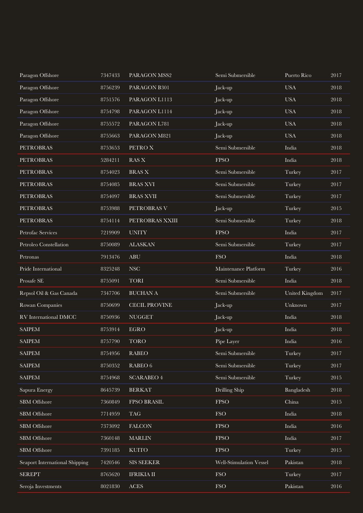| Paragon Offshore               | 7347433 | PARAGON MSS2         | Semi Submersible        | Puerto Rico    | 2017 |
|--------------------------------|---------|----------------------|-------------------------|----------------|------|
| Paragon Offshore               | 8756239 | PARAGON B301         | Jack-up                 | <b>USA</b>     | 2018 |
| Paragon Offshore               | 8751576 | PARAGON L1113        | Jack-up                 | <b>USA</b>     | 2018 |
| Paragon Offshore               | 8754798 | PARAGON L1114        | Jack-up                 | <b>USA</b>     | 2018 |
| Paragon Offshore               | 8755572 | PARAGON L781         | Jack-up                 | <b>USA</b>     | 2018 |
| Paragon Offshore               | 8755663 | PARAGON M821         | Jack-up                 | <b>USA</b>     | 2018 |
| <b>PETROBRAS</b>               | 8753653 | PETRO X              | Semi Submersible        | India          | 2018 |
| <b>PETROBRAS</b>               | 5284211 | <b>RAS X</b>         | <b>FPSO</b>             | India          | 2018 |
| <b>PETROBRAS</b>               | 8754023 | <b>BRAS X</b>        | Semi Submersible        | Turkey         | 2017 |
| <b>PETROBRAS</b>               | 8754085 | <b>BRAS XVI</b>      | Semi Submersible        | Turkey         | 2017 |
| <b>PETROBRAS</b>               | 8754097 | <b>BRAS XVII</b>     | Semi Submersible        | Turkey         | 2017 |
| <b>PETROBRAS</b>               | 8753988 | PETROBRAS V          | Jack-up                 | Turkey         | 2015 |
| <b>PETROBRAS</b>               | 8754114 | PETROBRAS XXIII      | Semi Submersible        | Turkey         | 2018 |
| Petrofac Services              | 7219909 | <b>UNITY</b>         | <b>FPSO</b>             | India          | 2017 |
| Petroleo Constellation         | 8750089 | <b>ALASKAN</b>       | Semi Submersible        | Turkey         | 2017 |
| Petronas                       | 7913476 | <b>ABU</b>           | <b>FSO</b>              | India          | 2018 |
| Pride International            | 8325248 | <b>NSC</b>           | Maintenance Platform    | Turkey         | 2016 |
| Prosafe SE                     | 8755091 | <b>TORI</b>          | Semi Submersible        | India          | 2018 |
| Repsol Oil & Gas Canada        | 7347706 | <b>BUCHAN A</b>      | Semi Submersible        | United Kingdom | 2017 |
| Rowan Companies                | 8750699 | <b>CECIL PROVINE</b> | Jack-up                 | Unknown        | 2017 |
| RV International DMCC          | 8750936 | <b>NUGGET</b>        | Jack-up                 | India          | 2018 |
| <b>SAIPEM</b>                  | 8753914 | <b>EGRO</b>          | Jack-up                 | India          | 2018 |
| <b>SAIPEM</b>                  | 8757790 | <b>TORO</b>          | Pipe Layer              | India          | 2016 |
| <b>SAIPEM</b>                  | 8754956 | <b>RABEO</b>         | Semi Submersible        | Turkey         | 2017 |
| <b>SAIPEM</b>                  | 8750352 | RABEO $6$            | Semi Submersible        | Turkey         | 2017 |
| <b>SAIPEM</b>                  | 8754968 | <b>SCARABEO 4</b>    | Semi Submersible        | Turkey         | 2015 |
| Sapura Energy                  | 8645739 | <b>BERKAT</b>        | Drilling Ship           | Bangladesh     | 2018 |
| SBM Offshore                   | 7360849 | FPSO BRASIL          | <b>FPSO</b>             | China          | 2015 |
| SBM Offshore                   | 7714959 | <b>TAG</b>           | <b>FSO</b>              | India          | 2018 |
| SBM Offshore                   | 7373092 | <b>FALCON</b>        | <b>FPSO</b>             | India          | 2016 |
| SBM Offshore                   | 7360148 | <b>MARLIN</b>        | ${\rm FPSO}$            | India          | 2017 |
| SBM Offshore                   | 7391185 | <b>KUITO</b>         | ${\rm FPSO}$            | Turkey         | 2015 |
| Seaport International Shipping | 7420546 | SIS SEEKER           | Well-Stimulation Vessel | Pakistan       | 2018 |
| <b>SEREPT</b>                  | 8765620 | <b>IFRIKIA II</b>    | <b>FSO</b>              | Turkey         | 2017 |
| Seroja Investments             | 8021830 | <b>ACES</b>          | <b>FSO</b>              | Pakistan       | 2016 |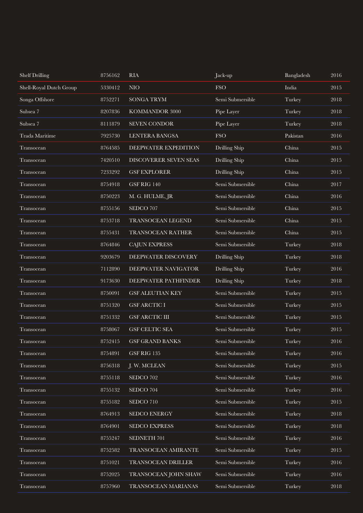| <b>Shelf Drilling</b>   | 8756162 | <b>RIA</b>              | Jack-up          | Bangladesh | 2016     |
|-------------------------|---------|-------------------------|------------------|------------|----------|
| Shell-Royal Dutch Group | 5330412 | $\rm NIO$               | <b>FSO</b>       | India      | 2015     |
| Songa Offshore          | 8752271 | SONGA TRYM              | Semi Submersible | Turkey     | 2018     |
| Subsea 7                | 8207836 | KOMMANDOR 3000          | Pipe Layer       | Turkey     | 2018     |
| Subsea 7                | 8111879 | SEVEN CONDOR            | Pipe Layer       | Turkey     | 2018     |
| Trada Maritime          | 7925730 | LENTERA BANGSA          | <b>FSO</b>       | Pakistan   | 2016     |
| Transocean              | 8764585 | DEEPWATER EXPEDITION    | Drilling Ship    | China      | 2015     |
| Transocean              | 7420510 | DISCOVERER SEVEN SEAS   | Drilling Ship    | China      | 2015     |
| Transocean              | 7233292 | <b>GSF EXPLORER</b>     | Drilling Ship    | China      | 2015     |
| Transocean              | 8754918 | GSF RIG 140             | Semi Submersible | China      | 2017     |
| Transocean              | 8750223 | M. G. HULME, JR         | Semi Submersible | China      | 2016     |
| Transocean              | 8755156 | SEDCO 707               | Semi Submersible | China      | 2015     |
| Transocean              | 8753718 | TRANSOCEAN LEGEND       | Semi Submersible | China      | 2015     |
| Transocean              | 8755431 | TRANSOCEAN RATHER       | Semi Submersible | China      | 2015     |
| Transocean              | 8764846 | <b>CAJUN EXPRESS</b>    | Semi Submersible | Turkey     | 2018     |
| Transocean              | 9203679 | DEEPWATER DISCOVERY     | Drilling Ship    | Turkey     | 2018     |
| Transocean              | 7112890 | DEEPWATER NAVIGATOR     | Drilling Ship    | Turkey     | 2016     |
| Transocean              | 9173630 | DEEPWATER PATHFINDER    | Drilling Ship    | Turkey     | 2018     |
| Transocean              | 8750091 | <b>GSF ALEUTIAN KEY</b> | Semi Submersible | Turkey     | 2015     |
| Transocean              | 8751320 | <b>GSF ARCTIC I</b>     | Semi Submersible | Turkey     | 2015     |
| Transocean              | 8751332 | <b>GSF ARCTIC III</b>   | Semi Submersible | Turkey     | 2015     |
| Transocean              | 8758067 | GSF CELTIC SEA          | Semi Submersible | Turkey     | 2015     |
| Transocean              | 8752415 | <b>GSF GRAND BANKS</b>  | Semi Submersible | Turkey     | 2016     |
| Transocean              | 8754891 | GSF RIG 135             | Semi Submersible | Turkey     | 2016     |
| Transocean              | 8756318 | J. W. MCLEAN            | Semi Submersible | Turkey     | 2015     |
| Transocean              | 8755118 | SEDCO 702               | Semi Submersible | Turkey     | 2016     |
| Transocean              | 8755132 | SEDCO 704               | Semi Submersible | Turkey     | 2016     |
| Transocean              | 8755182 | SEDCO 710               | Semi Submersible | Turkey     | 2015     |
| Transocean              | 8764913 | SEDCO ENERGY            | Semi Submersible | Turkey     | 2018     |
| Transocean              | 8764901 | SEDCO EXPRESS           | Semi Submersible | Turkey     | 2018     |
| Transocean              | 8755247 | SEDNETH 701             | Semi Submersible | Turkey     | 2016     |
| Transocean              | 8752582 | TRANSOCEAN AMIRANTE     | Semi Submersible | Turkey     | 2015     |
| Transocean              | 8751021 | TRANSOCEAN DRILLER      | Semi Submersible | Turkey     | 2016     |
| Transocean              | 8752025 | TRANSOCEAN JOHN SHAW    | Semi Submersible | Turkey     | 2016     |
| Transocean              | 8757960 | TRANSOCEAN MARIANAS     | Semi Submersible | Turkey     | $2018\,$ |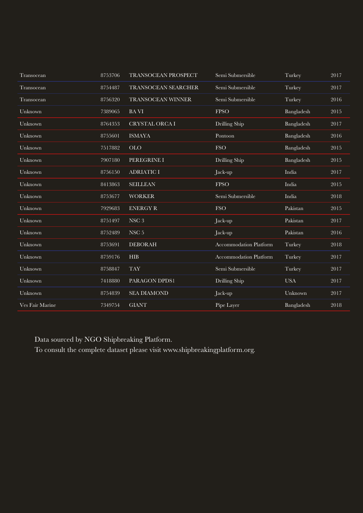| Transocean | 8753706 | TRANSOCEAN PROSPECT   | Semi Submersible              | Turkey     | 2017 |
|------------|---------|-----------------------|-------------------------------|------------|------|
| Transocean | 8754487 | TRANSOCEAN SEARCHER   | Semi Submersible              | Turkey     | 2017 |
| Transocean | 8756320 | TRANSOCEAN WINNER     | Semi Submersible              | Turkey     | 2016 |
| Unknown    | 7389065 | <b>BAVI</b>           | <b>FPSO</b>                   | Bangladesh | 2015 |
| Unknown    | 8764353 | <b>CRYSTAL ORCA I</b> | Drilling Ship                 | Bangladesh | 2017 |
| Unknown    | 8755601 | <b>ISMAYA</b>         | Pontoon                       | Bangladesh | 2016 |
| Unknown    | 7517882 | <b>OLO</b>            | <b>FSO</b>                    | Bangladesh | 2015 |
| Unknown    | 7907180 | PEREGRINE I           | Drilling Ship                 | Bangladesh | 2015 |
| Unknown    | 8756150 | <b>ADRIATIC I</b>     | Jack-up                       | India      | 2017 |
| Unknown    | 8413863 | <b>SEILLEAN</b>       | <b>FPSO</b>                   | India      | 2015 |
|            |         |                       |                               |            |      |
| Unknown    | 8753677 | <b>WORKER</b>         | Semi Submersible              | India      | 2018 |
| Unknown    | 7929683 | <b>ENERGY R</b>       | <b>FSO</b>                    | Pakistan   | 2015 |
| Unknown    | 8751497 | NSC <sub>3</sub>      | Jack-up                       | Pakistan   | 2017 |
| Unknown    | 8752489 | NSC <sub>5</sub>      | Jack-up                       | Pakistan   | 2016 |
| Unknown    | 8753691 | <b>DEBORAH</b>        | <b>Accommodation Platform</b> | Turkey     | 2018 |
| Unknown    | 8759176 | <b>HIB</b>            | <b>Accommodation Platform</b> | Turkey     | 2017 |
| Unknown    | 8758847 | <b>TAY</b>            | Semi Submersible              | Turkey     | 2017 |
| Unknown    | 7418880 | PARAGON DPDS1         | Drilling Ship                 | <b>USA</b> | 2017 |
| Unknown    | 8754839 | <b>SEA DIAMOND</b>    | Jack-up                       | Unknown    | 2017 |

Data sourced by NGO Shipbreaking Platform.

To consult the complete dataset please visit www.shipbreakingplatform.org.